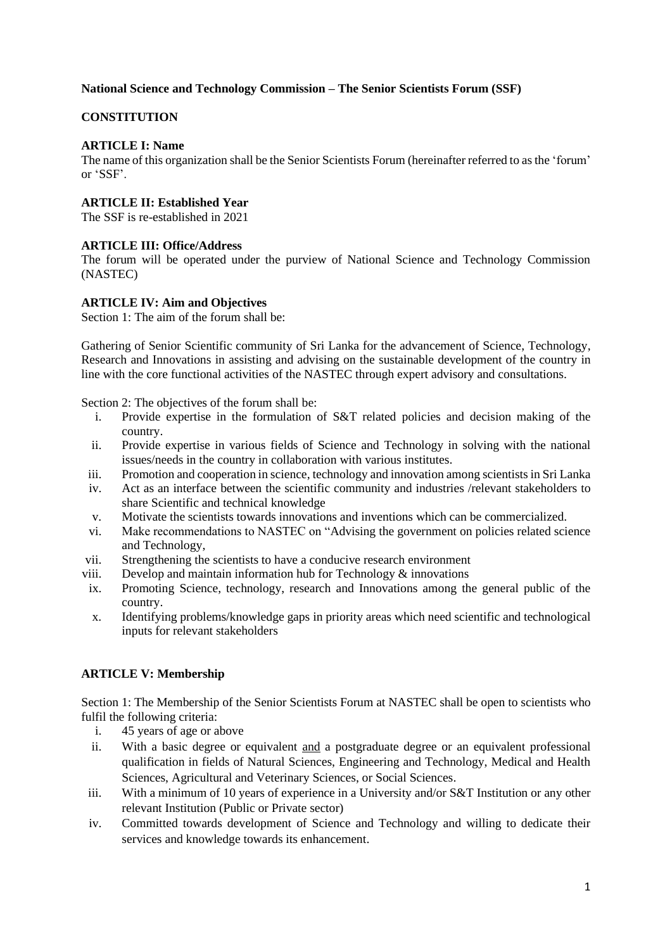### **National Science and Technology Commission – The Senior Scientists Forum (SSF)**

# **CONSTITUTION**

# **ARTICLE I: Name**

The name of this organization shall be the Senior Scientists Forum (hereinafter referred to as the 'forum' or 'SSF'.

# **ARTICLE II: Established Year**

The SSF is re-established in 2021

# **ARTICLE III: Office/Address**

The forum will be operated under the purview of National Science and Technology Commission (NASTEC)

# **ARTICLE IV: Aim and Objectives**

Section 1: The aim of the forum shall be:

Gathering of Senior Scientific community of Sri Lanka for the advancement of Science, Technology, Research and Innovations in assisting and advising on the sustainable development of the country in line with the core functional activities of the NASTEC through expert advisory and consultations.

Section 2: The objectives of the forum shall be:

- i. Provide expertise in the formulation of S&T related policies and decision making of the country.
- ii. Provide expertise in various fields of Science and Technology in solving with the national issues/needs in the country in collaboration with various institutes.
- iii. Promotion and cooperation in science, technology and innovation among scientists in Sri Lanka
- iv. Act as an interface between the scientific community and industries /relevant stakeholders to share Scientific and technical knowledge
- v. Motivate the scientists towards innovations and inventions which can be commercialized.
- vi. Make recommendations to NASTEC on "Advising the government on policies related science and Technology,
- vii. Strengthening the scientists to have a conducive research environment
- viii. Develop and maintain information hub for Technology  $\&$  innovations
- ix. Promoting Science, technology, research and Innovations among the general public of the country.
- x. Identifying problems/knowledge gaps in priority areas which need scientific and technological inputs for relevant stakeholders

# **ARTICLE V: Membership**

Section 1: The Membership of the Senior Scientists Forum at NASTEC shall be open to scientists who fulfil the following criteria:

- i. 45 years of age or above
- ii. With a basic degree or equivalent and a postgraduate degree or an equivalent professional qualification in fields of Natural Sciences, Engineering and Technology, Medical and Health Sciences, Agricultural and Veterinary Sciences, or Social Sciences.
- iii. With a minimum of 10 years of experience in a University and/or S&T Institution or any other relevant Institution (Public or Private sector)
- iv. Committed towards development of Science and Technology and willing to dedicate their services and knowledge towards its enhancement.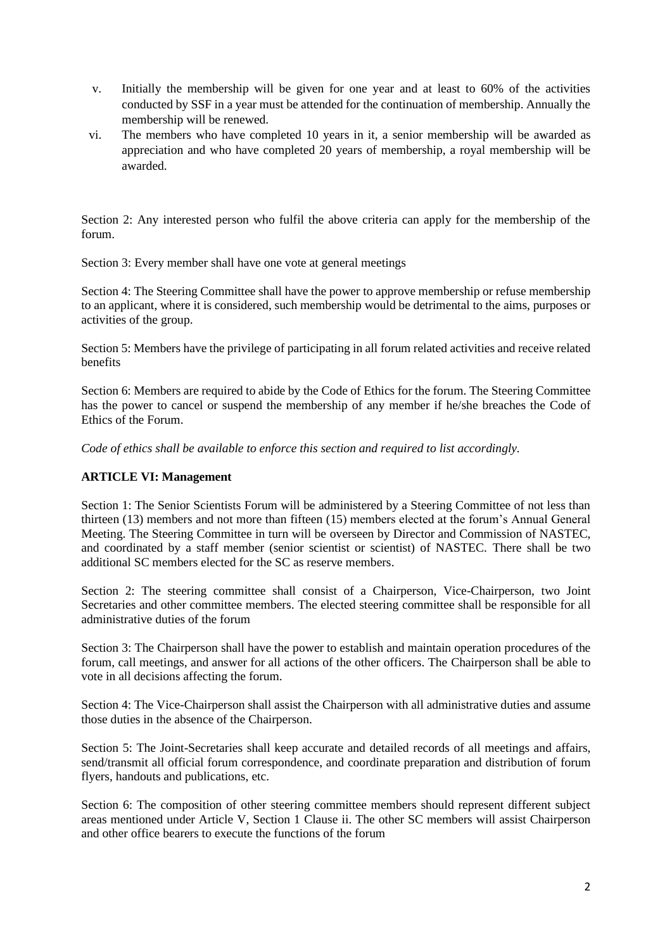- v. Initially the membership will be given for one year and at least to 60% of the activities conducted by SSF in a year must be attended for the continuation of membership. Annually the membership will be renewed.
- vi. The members who have completed 10 years in it, a senior membership will be awarded as appreciation and who have completed 20 years of membership, a royal membership will be awarded.

Section 2: Any interested person who fulfil the above criteria can apply for the membership of the forum.

Section 3: Every member shall have one vote at general meetings

Section 4: The Steering Committee shall have the power to approve membership or refuse membership to an applicant, where it is considered, such membership would be detrimental to the aims, purposes or activities of the group.

Section 5: Members have the privilege of participating in all forum related activities and receive related benefits

Section 6: Members are required to abide by the Code of Ethics for the forum. The Steering Committee has the power to cancel or suspend the membership of any member if he/she breaches the Code of Ethics of the Forum.

*Code of ethics shall be available to enforce this section and required to list accordingly.*

# **ARTICLE VI: Management**

Section 1: The Senior Scientists Forum will be administered by a Steering Committee of not less than thirteen (13) members and not more than fifteen (15) members elected at the forum's Annual General Meeting. The Steering Committee in turn will be overseen by Director and Commission of NASTEC, and coordinated by a staff member (senior scientist or scientist) of NASTEC. There shall be two additional SC members elected for the SC as reserve members.

Section 2: The steering committee shall consist of a Chairperson, Vice-Chairperson, two Joint Secretaries and other committee members. The elected steering committee shall be responsible for all administrative duties of the forum

Section 3: The Chairperson shall have the power to establish and maintain operation procedures of the forum, call meetings, and answer for all actions of the other officers. The Chairperson shall be able to vote in all decisions affecting the forum.

Section 4: The Vice-Chairperson shall assist the Chairperson with all administrative duties and assume those duties in the absence of the Chairperson.

Section 5: The Joint-Secretaries shall keep accurate and detailed records of all meetings and affairs, send/transmit all official forum correspondence, and coordinate preparation and distribution of forum flyers, handouts and publications, etc.

Section 6: The composition of other steering committee members should represent different subject areas mentioned under Article V, Section 1 Clause ii. The other SC members will assist Chairperson and other office bearers to execute the functions of the forum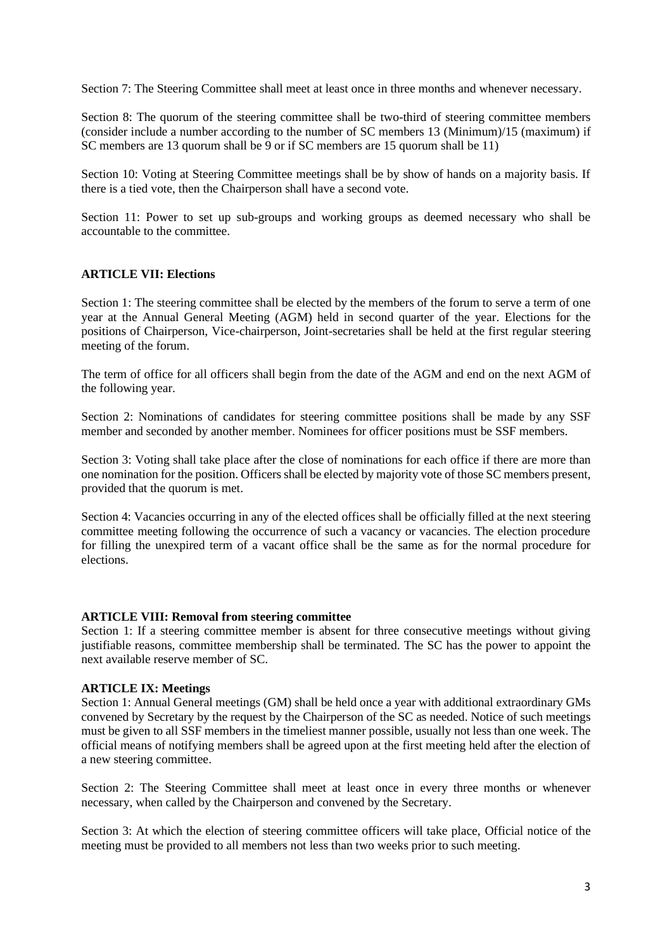Section 7: The Steering Committee shall meet at least once in three months and whenever necessary.

Section 8: The quorum of the steering committee shall be two-third of steering committee members (consider include a number according to the number of SC members 13 (Minimum)/15 (maximum) if SC members are 13 quorum shall be 9 or if SC members are 15 quorum shall be 11)

Section 10: Voting at Steering Committee meetings shall be by show of hands on a majority basis. If there is a tied vote, then the Chairperson shall have a second vote.

Section 11: Power to set up sub-groups and working groups as deemed necessary who shall be accountable to the committee.

#### **ARTICLE VII: Elections**

Section 1: The steering committee shall be elected by the members of the forum to serve a term of one year at the Annual General Meeting (AGM) held in second quarter of the year. Elections for the positions of Chairperson, Vice-chairperson, Joint-secretaries shall be held at the first regular steering meeting of the forum.

The term of office for all officers shall begin from the date of the AGM and end on the next AGM of the following year.

Section 2: Nominations of candidates for steering committee positions shall be made by any SSF member and seconded by another member. Nominees for officer positions must be SSF members.

Section 3: Voting shall take place after the close of nominations for each office if there are more than one nomination for the position. Officers shall be elected by majority vote of those SC members present, provided that the quorum is met.

Section 4: Vacancies occurring in any of the elected offices shall be officially filled at the next steering committee meeting following the occurrence of such a vacancy or vacancies. The election procedure for filling the unexpired term of a vacant office shall be the same as for the normal procedure for elections.

#### **ARTICLE VIII: Removal from steering committee**

Section 1: If a steering committee member is absent for three consecutive meetings without giving justifiable reasons, committee membership shall be terminated. The SC has the power to appoint the next available reserve member of SC.

#### **ARTICLE IX: Meetings**

Section 1: Annual General meetings (GM) shall be held once a year with additional extraordinary GMs convened by Secretary by the request by the Chairperson of the SC as needed. Notice of such meetings must be given to all SSF members in the timeliest manner possible, usually not less than one week. The official means of notifying members shall be agreed upon at the first meeting held after the election of a new steering committee.

Section 2: The Steering Committee shall meet at least once in every three months or whenever necessary, when called by the Chairperson and convened by the Secretary.

Section 3: At which the election of steering committee officers will take place, Official notice of the meeting must be provided to all members not less than two weeks prior to such meeting.